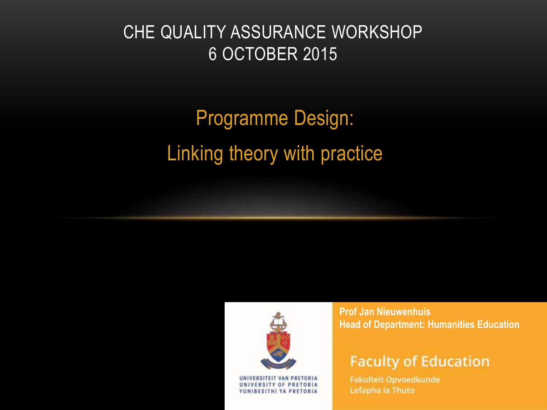#### CHE QUALITY ASSURANCE WORKSHOP 6 OCTOBER 2015

Programme Design: Linking theory with practice



UNIVERSITEIT VAN PRETORIA UNIVERSITY OF PRETORIA YUNIBESITHI YA PRETORIA

**Prof Jan Nieuwenhuis Head of Department: Humanities Education**

#### **Faculty of Education**

**Fakulteit Opvoedkunde** Lefapha la Thuto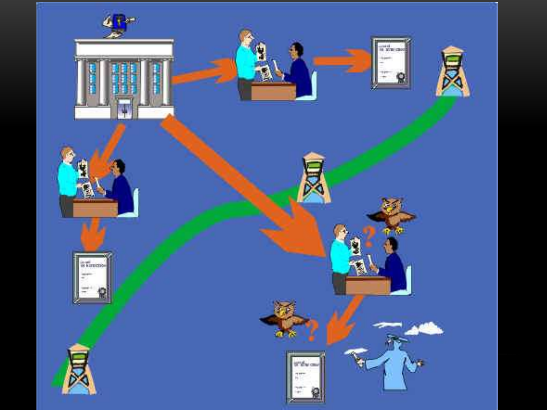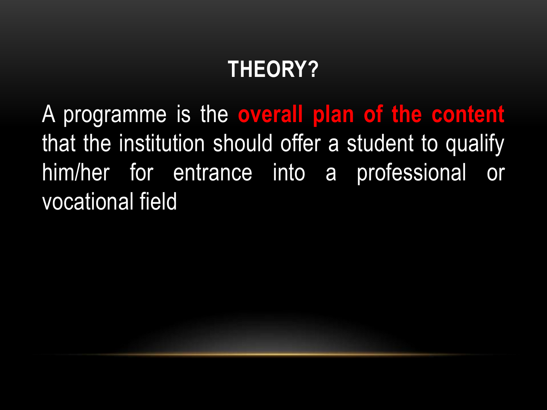### **THEORY?**

A programme is the **overall plan of the content** that the institution should offer a student to qualify him/her for entrance into a professional or vocational field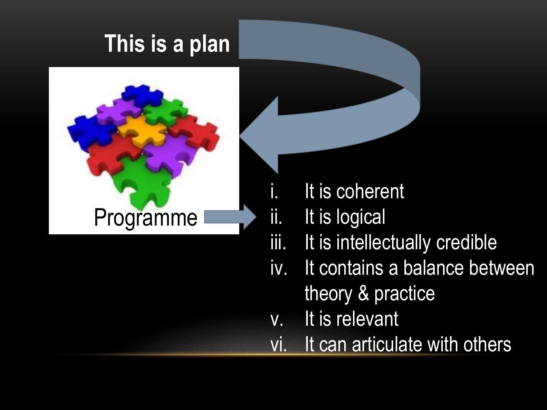#### **This is a plan**

## Programme

- It is coherent
- ii. It is logical
- iii. It is intellectually credible
- iv. It contains a balance between theory & practice
- v. It is relevant
- vi. It can articulate with others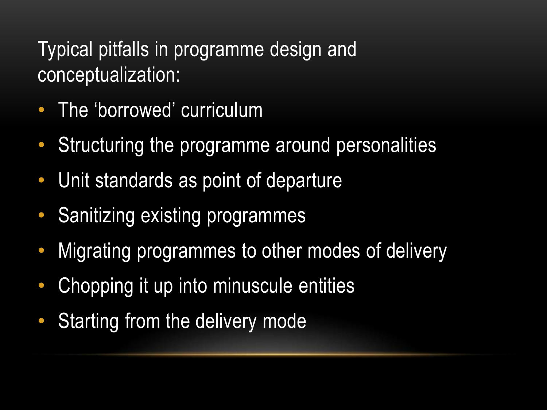Typical pitfalls in programme design and conceptualization:

- The 'borrowed' curriculum
- Structuring the programme around personalities
- Unit standards as point of departure
- Sanitizing existing programmes
- Migrating programmes to other modes of delivery
- Chopping it up into minuscule entities
- Starting from the delivery mode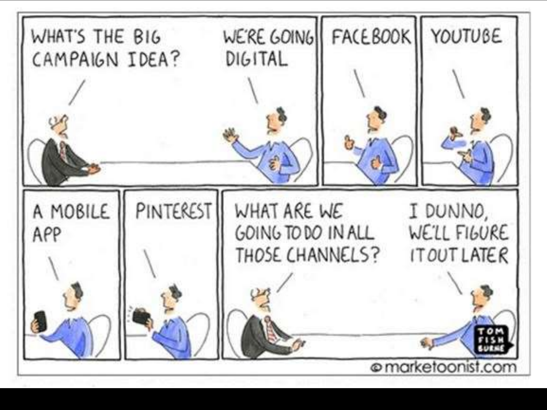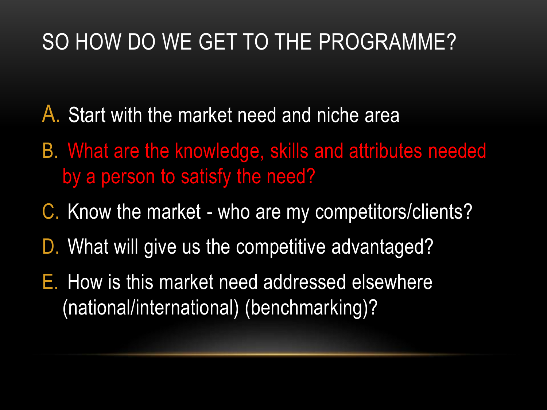## SO HOW DO WE GET TO THE PROGRAMME?

- A. Start with the market need and niche area
- B. What are the knowledge, skills and attributes needed by a person to satisfy the need?
- C. Know the market who are my competitors/clients?
- D. What will give us the competitive advantaged?
- E. How is this market need addressed elsewhere (national/international) (benchmarking)?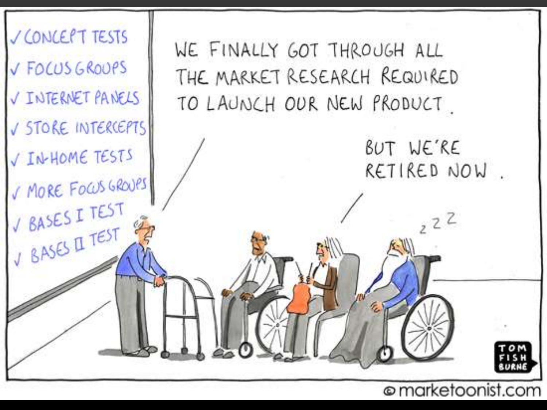**CONCEPT TESTS** V FOCUS GROUPS V INTERNET PANELS V STORE INTERCEPTS V INHOME TESTS V MORE FOCUS GROUPS / BASES I TEST V BASES II TEST

WE FINALLY GOT THROUGH ALL THE MARKET RESEARCH REQUIRED TO LAUNCH OUR NEW PRODUCT

> BUT WE'RE RETIRED NOW.

> > $22$

#### marketoonist.com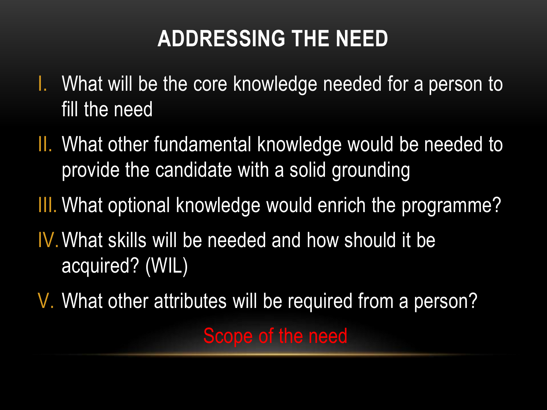# **ADDRESSING THE NEED**

- I. What will be the core knowledge needed for a person to fill the need
- II. What other fundamental knowledge would be needed to provide the candidate with a solid grounding
- III. What optional knowledge would enrich the programme?
- IV.What skills will be needed and how should it be acquired? (WIL)
- V. What other attributes will be required from a person?

Scope of the need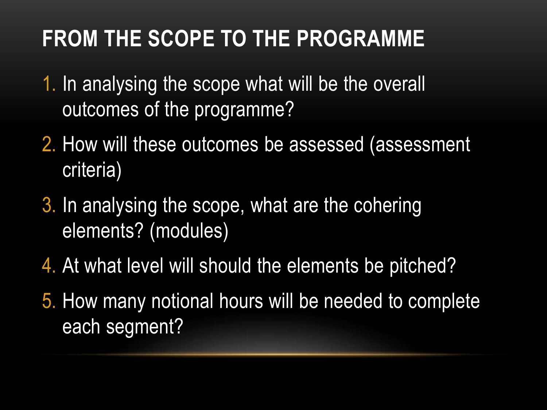# **FROM THE SCOPE TO THE PROGRAMME**

- 1. In analysing the scope what will be the overall outcomes of the programme?
- 2. How will these outcomes be assessed (assessment criteria)
- 3. In analysing the scope, what are the cohering elements? (modules)
- 4. At what level will should the elements be pitched?
- 5. How many notional hours will be needed to complete each segment?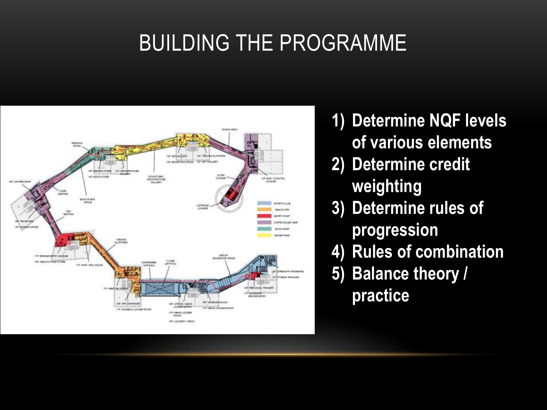### BUILDING THE PROGRAMME



- **1) Determine NQF levels of various elements**
- **2) Determine credit weighting**
- **3) Determine rules of progression**
- **4) Rules of combination**
- **5) Balance theory / practice**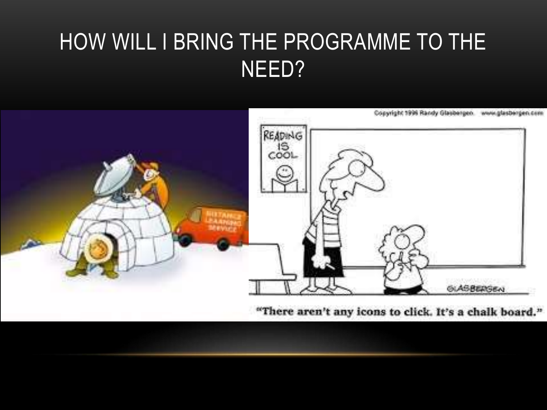#### HOW WILL I BRING THE PROGRAMME TO THE NEED?



"There aren't any icons to click. It's a chalk board."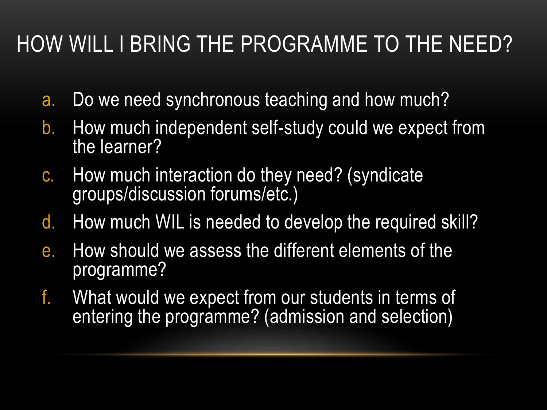## HOW WILL I BRING THE PROGRAMME TO THE NEED?

- a. Do we need synchronous teaching and how much?
- b. How much independent self-study could we expect from the learner?
- c. How much interaction do they need? (syndicate groups/discussion forums/etc.)
- d. How much WIL is needed to develop the required skill?
- e. How should we assess the different elements of the programme?
- f. What would we expect from our students in terms of entering the programme? (admission and selection)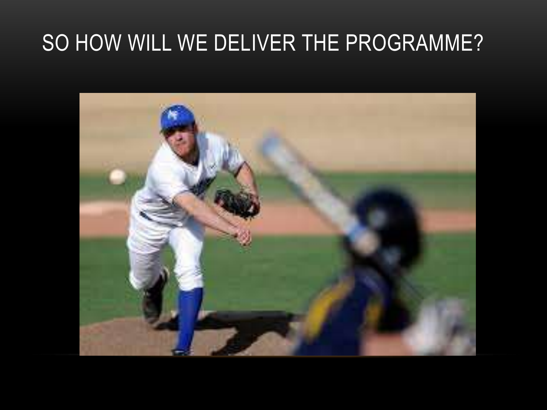### SO HOW WILL WE DELIVER THE PROGRAMME?